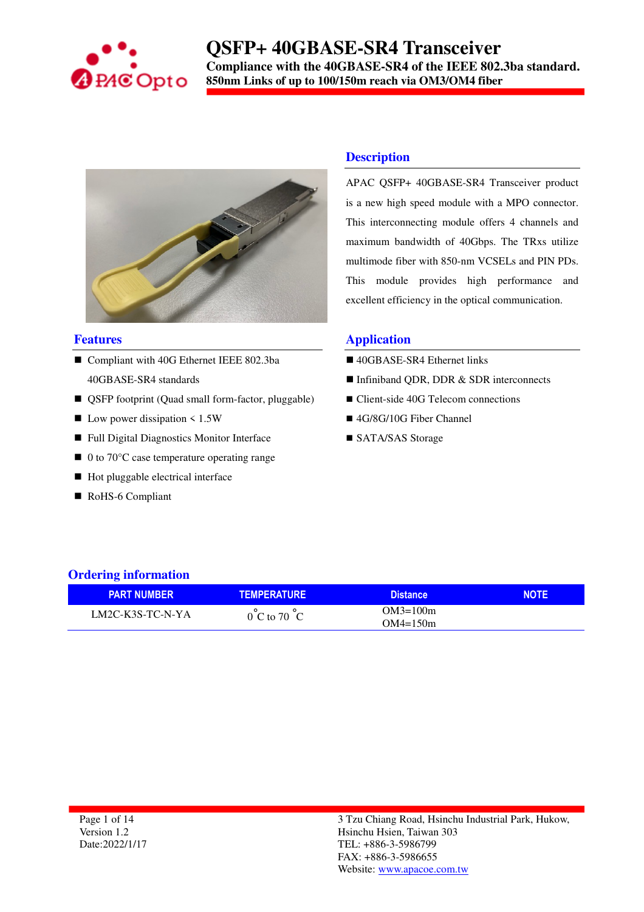

### **QSFP+ 40GBASE-SR4 Transceiver Compliance with the 40GBASE-SR4 of the IEEE 802.3ba standard. 850nm Links of up to 100/150m reach via OM3/OM4 fiber**



#### **Features**

- Compliant with 40G Ethernet IEEE 802.3ba 40GBASE-SR4 standards
- QSFP footprint (Quad small form-factor, pluggable)
- $\blacksquare$  Low power dissipation < 1.5W
- Full Digital Diagnostics Monitor Interface
- $\blacksquare$  0 to 70 $\degree$ C case temperature operating range
- $\blacksquare$  Hot pluggable electrical interface
- RoHS-6 Compliant

### **Description**

APAC QSFP+ 40GBASE-SR4 Transceiver product is a new high speed module with a MPO connector. This interconnecting module offers 4 channels and maximum bandwidth of 40Gbps. The TRxs utilize multimode fiber with 850-nm VCSELs and PIN PDs. This module provides high performance and excellent efficiency in the optical communication.

#### **Application**

- 40GBASE-SR4 Ethernet links
- Infiniband ODR, DDR & SDR interconnects
- Client-side 40G Telecom connections
- 4G/8G/10G Fiber Channel
- SATA/SAS Storage

### **Ordering information**

| <b>PART NUMBER</b> | <b>TEMPERATURE</b>               | <b>Distance</b> | <b>NOTE</b> |
|--------------------|----------------------------------|-----------------|-------------|
| LM2C-K3S-TC-N-YA   | $0^{\circ}$ C to 70 $^{\circ}$ C | $OM3=100m$      |             |
|                    |                                  | $OM4 = 150m$    |             |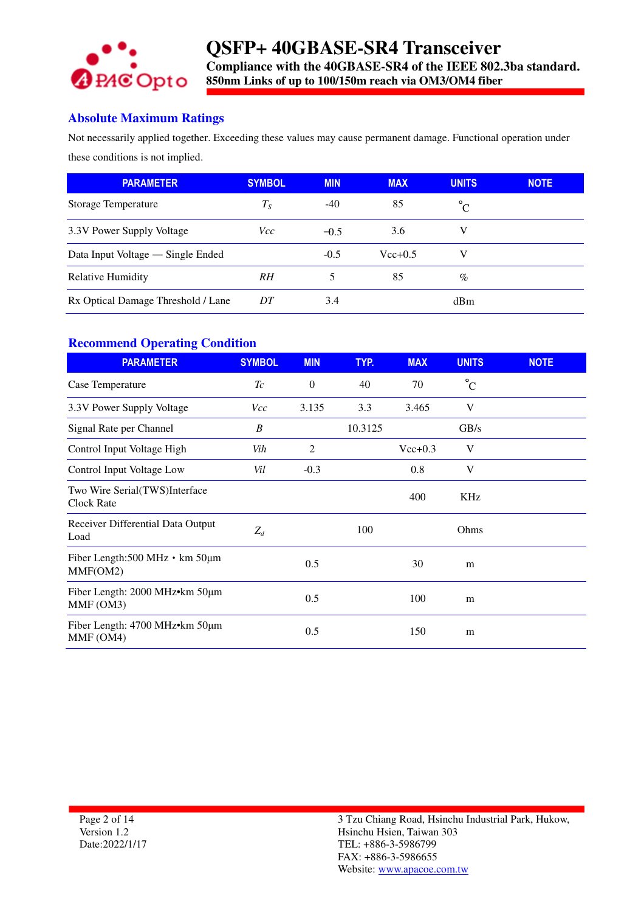

### **Absolute Maximum Ratings**

Not necessarily applied together. Exceeding these values may cause permanent damage. Functional operation under these conditions is not implied.

| <b>PARAMETER</b>                   | <b>SYMBOL</b> | <b>MIN</b> | <b>MAX</b>  | <b>UNITS</b> | <b>NOTE</b> |
|------------------------------------|---------------|------------|-------------|--------------|-------------|
| Storage Temperature                | $T_S$         | $-40$      | 85          | $^{\circ}C$  |             |
| 3.3V Power Supply Voltage          | <i>Vcc</i>    | $-0.5$     | 3.6         |              |             |
| Data Input Voltage — Single Ended  |               | $-0.5$     | $Vec{+}0.5$ | V            |             |
| <b>Relative Humidity</b>           | RH            |            | 85          | $\%$         |             |
| Rx Optical Damage Threshold / Lane | DT            | 3.4        |             | dBm          |             |

### **Recommend Operating Condition**

| <b>PARAMETER</b>                                              | <b>SYMBOL</b> | <b>MIN</b>     | TYP.    | <b>MAX</b> | <b>UNITS</b> | <b>NOTE</b> |
|---------------------------------------------------------------|---------------|----------------|---------|------------|--------------|-------------|
| Case Temperature                                              | Tc            | $\mathbf{0}$   | 40      | 70         | $^{\circ}C$  |             |
| 3.3V Power Supply Voltage                                     | <i>Vcc</i>    | 3.135          | 3.3     | 3.465      | V            |             |
| Signal Rate per Channel                                       | B             |                | 10.3125 |            | GB/s         |             |
| Control Input Voltage High                                    | Vih           | $\overline{2}$ |         | $Vec+0.3$  | V            |             |
| Control Input Voltage Low                                     | Vil           | $-0.3$         |         | 0.8        | V            |             |
| Two Wire Serial(TWS)Interface<br><b>Clock Rate</b>            |               |                |         | 400        | KHz          |             |
| Receiver Differential Data Output<br>Load                     | $Z_d$         |                | 100     |            | Ohms         |             |
| Fiber Length: $500$ MHz $\cdot$ km $50 \mu m$<br>MMF(OM2)     |               | 0.5            |         | 30         | m            |             |
| Fiber Length: $2000$ MHz $\cdot$ km $50 \mu$ m<br>MMF (OM3)   |               | 0.5            |         | 100        | m            |             |
| Fiber Length: $4700$ MHz $\bullet$ km $50 \mu$ m<br>MMF (OM4) |               | 0.5            |         | 150        | m            |             |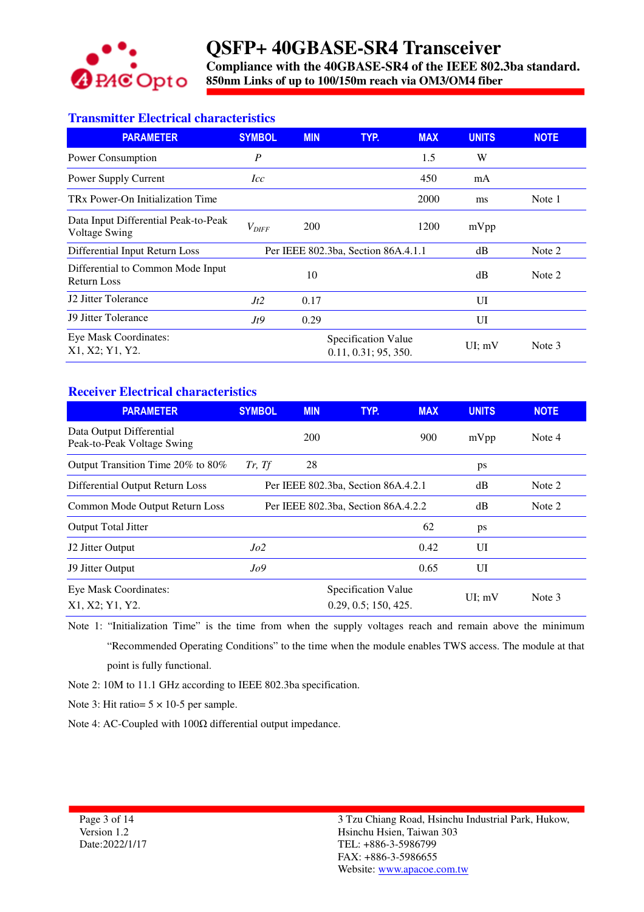

**Compliance with the 40GBASE-SR4 of the IEEE 802.3ba standard. 850nm Links of up to 100/150m reach via OM3/OM4 fiber** 

### **Transmitter Electrical characteristics**

| <b>PARAMETER</b>                                             | <b>SYMBOL</b>              | <b>MIN</b> | TYP.<br><b>MAX</b>                          | <b>UNITS</b> | <b>NOTE</b> |
|--------------------------------------------------------------|----------------------------|------------|---------------------------------------------|--------------|-------------|
| Power Consumption                                            | $\boldsymbol{P}$           |            | 1.5                                         | W            |             |
| Power Supply Current                                         | <i>Icc</i>                 |            | 450                                         | mA           |             |
| TRx Power-On Initialization Time                             |                            |            | 2000                                        | ms           | Note 1      |
| Data Input Differential Peak-to-Peak<br><b>Voltage Swing</b> | $V_{\textit{\text{DIFF}}}$ | 200        | 1200                                        | mVpp         |             |
| Differential Input Return Loss                               |                            |            | Per IEEE 802.3ba, Section 86A.4.1.1         | dB           | Note 2      |
| Differential to Common Mode Input<br><b>Return Loss</b>      |                            | 10         |                                             | dB           | Note 2      |
| J2 Jitter Tolerance                                          | Jt2                        | 0.17       |                                             | UI           |             |
| <b>J9 Jitter Tolerance</b>                                   | Jt9                        | 0.29       |                                             | UI           |             |
| Eye Mask Coordinates:<br>X1, X2; Y1, Y2.                     |                            |            | Specification Value<br>0.11, 0.31; 95, 350. | UI: mV       | Note 3      |

### **Receiver Electrical characteristics**

| <b>PARAMETER</b>                                       | <b>SYMBOL</b> | <b>MIN</b> | TYP.                                | <b>MAX</b> | <b>UNITS</b> | <b>NOTE</b> |
|--------------------------------------------------------|---------------|------------|-------------------------------------|------------|--------------|-------------|
| Data Output Differential<br>Peak-to-Peak Voltage Swing |               | 200        |                                     | 900        | mVpp         | Note 4      |
| Output Transition Time 20% to 80%                      | Tr, Tf        | 28         |                                     |            | ps           |             |
| Differential Output Return Loss                        |               |            | Per IEEE 802.3ba, Section 86A.4.2.1 |            | dB           | Note 2      |
| Common Mode Output Return Loss                         |               |            | Per IEEE 802.3ba, Section 86A.4.2.2 |            | dB           | Note 2      |
| Output Total Jitter                                    |               |            |                                     | 62         | ps           |             |
| J2 Jitter Output                                       | Jo2           |            |                                     | 0.42       | UI           |             |
| <b>J9 Jitter Output</b>                                | Jo9           |            |                                     | 0.65       | UI           |             |
| Eye Mask Coordinates:                                  |               |            | Specification Value                 |            | UI: mV       | Note 3      |
| X1, X2: Y1, Y2.                                        |               |            | 0.29, 0.5; 150, 425.                |            |              |             |

Note 1: "Initialization Time" is the time from when the supply voltages reach and remain above the minimum "Recommended Operating Conditions" to the time when the module enables TWS access. The module at that point is fully functional.

Note 2: 10M to 11.1 GHz according to IEEE 802.3ba specification.

Note 3: Hit ratio=  $5 \times 10-5$  per sample.

Note 4: AC-Coupled with 100Ω differential output impedance.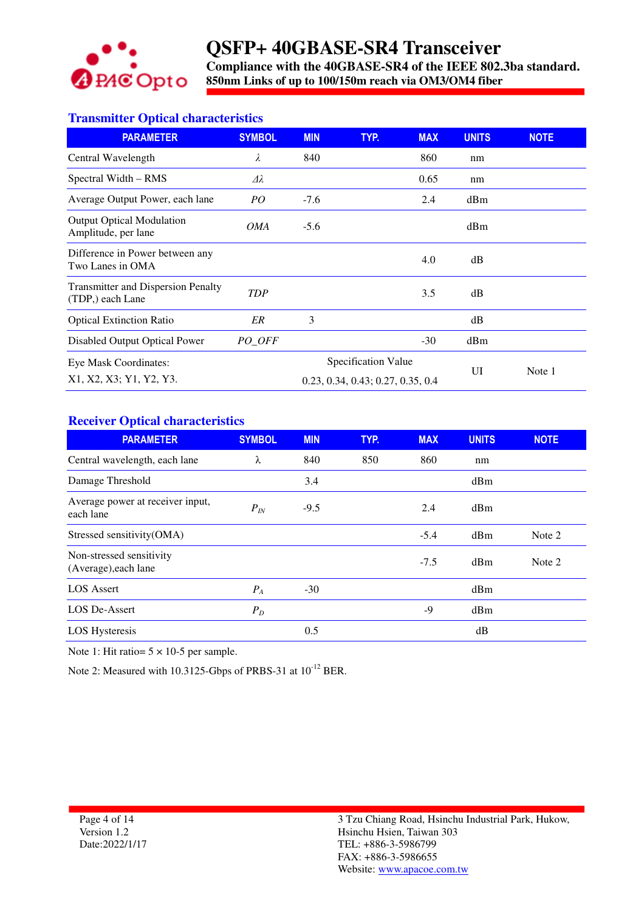

**Compliance with the 40GBASE-SR4 of the IEEE 802.3ba standard. 850nm Links of up to 100/150m reach via OM3/OM4 fiber** 

### **Transmitter Optical characteristics**

| <b>PARAMETER</b>                                              | <b>SYMBOL</b>   | <b>MIN</b>                        | TYP.                | <b>MAX</b> | <b>UNITS</b> | <b>NOTE</b> |
|---------------------------------------------------------------|-----------------|-----------------------------------|---------------------|------------|--------------|-------------|
| Central Wavelength                                            | λ               | 840                               |                     | 860        | nm           |             |
| Spectral Width – RMS                                          | Δλ              |                                   |                     | 0.65       | nm           |             |
| Average Output Power, each lane                               | PO <sub>1</sub> | $-7.6$                            |                     | 2.4        | dBm          |             |
| <b>Output Optical Modulation</b><br>Amplitude, per lane       | <i>OMA</i>      | $-5.6$                            |                     |            | dBm          |             |
| Difference in Power between any<br>Two Lanes in OMA           |                 |                                   |                     | 4.0        | dB           |             |
| <b>Transmitter and Dispersion Penalty</b><br>(TDP,) each Lane | <b>TDP</b>      |                                   |                     | 3.5        | dB           |             |
| <b>Optical Extinction Ratio</b>                               | ER              | 3                                 |                     |            | dB           |             |
| Disabled Output Optical Power                                 | PO OFF          |                                   |                     | $-30$      | dBm          |             |
| Eye Mask Coordinates:                                         |                 |                                   | Specification Value |            |              |             |
| X1, X2, X3; Y1, Y2, Y3.                                       |                 | 0.23, 0.34, 0.43; 0.27, 0.35, 0.4 |                     | UI         | Note 1       |             |

### **Receiver Optical characteristics**

| <b>PARAMETER</b>                                 | <b>SYMBOL</b> | <b>MIN</b> | TYP. | <b>MAX</b> | <b>UNITS</b> | <b>NOTE</b> |
|--------------------------------------------------|---------------|------------|------|------------|--------------|-------------|
| Central wavelength, each lane                    | λ             | 840        | 850  | 860        | nm           |             |
| Damage Threshold                                 |               | 3.4        |      |            | dBm          |             |
| Average power at receiver input,<br>each lane    | $P_{IN}$      | $-9.5$     |      | 2.4        | dBm          |             |
| Stressed sensitivity(OMA)                        |               |            |      | $-5.4$     | dBm          | Note 2      |
| Non-stressed sensitivity<br>(Average), each lane |               |            |      | $-7.5$     | dBm          | Note 2      |
| <b>LOS</b> Assert                                | $P_A$         | $-30$      |      |            | dBm          |             |
| LOS De-Assert                                    | $P_D$         |            |      | -9         | dBm          |             |
| <b>LOS Hysteresis</b>                            |               | 0.5        |      |            | dB           |             |

Note 1: Hit ratio=  $5 \times 10-5$  per sample.

Note 2: Measured with 10.3125-Gbps of PRBS-31 at  $10^{-12}$  BER.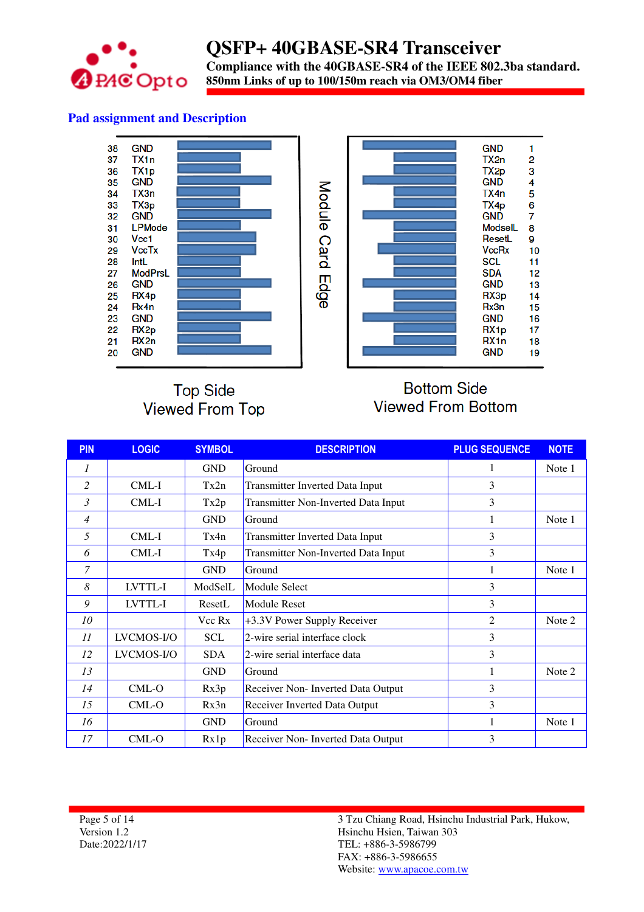

### **QSFP+ 40GBASE-SR4 Transceiver Compliance with the 40GBASE-SR4 of the IEEE 802.3ba standard. 850nm Links of up to 100/150m reach via OM3/OM4 fiber**

### **Pad assignment and Description**



### **Top Side Viewed From Top**

### **Bottom Side Viewed From Bottom**

| <b>PIN</b> | <b>LOGIC</b> | <b>SYMBOL</b> | <b>DESCRIPTION</b>                         | <b>PLUG SEQUENCE</b> | <b>NOTE</b> |
|------------|--------------|---------------|--------------------------------------------|----------------------|-------------|
| 1          |              | <b>GND</b>    | Ground                                     | 1                    | Note 1      |
| 2          | $CML-I$      | Tx2n          | <b>Transmitter Inverted Data Input</b>     | 3                    |             |
| 3          | CML-I        | Tx2p          | Transmitter Non-Inverted Data Input        | 3                    |             |
| 4          |              | <b>GND</b>    | Ground                                     |                      | Note 1      |
| 5          | CML-I        | Tx4n          | Transmitter Inverted Data Input            | 3                    |             |
| 6          | CML-I        | Tx4p          | <b>Transmitter Non-Inverted Data Input</b> | 3                    |             |
| 7          |              | <b>GND</b>    | Ground                                     |                      | Note 1      |
| 8          | LVTTL-I      | ModSelL       | Module Select                              | 3                    |             |
| 9          | LVTTL-I      | ResetL        | <b>Module Reset</b>                        | 3                    |             |
| 10         |              | Vcc Rx        | +3.3V Power Supply Receiver                | 2                    | Note 2      |
| 11         | LVCMOS-I/O   | <b>SCL</b>    | 2-wire serial interface clock              | 3                    |             |
| 12         | LVCMOS-I/O   | <b>SDA</b>    | 2-wire serial interface data               | 3                    |             |
| 13         |              | <b>GND</b>    | Ground                                     |                      | Note 2      |
| 14         | $CML-O$      | Rx3p          | Receiver Non- Inverted Data Output         | 3                    |             |
| 15         | $CML-O$      | Rx3n          | Receiver Inverted Data Output              | 3                    |             |
| 16         |              | <b>GND</b>    | Ground                                     |                      | Note 1      |
| 17         | $CML-O$      | Rx1p          | Receiver Non- Inverted Data Output         | 3                    |             |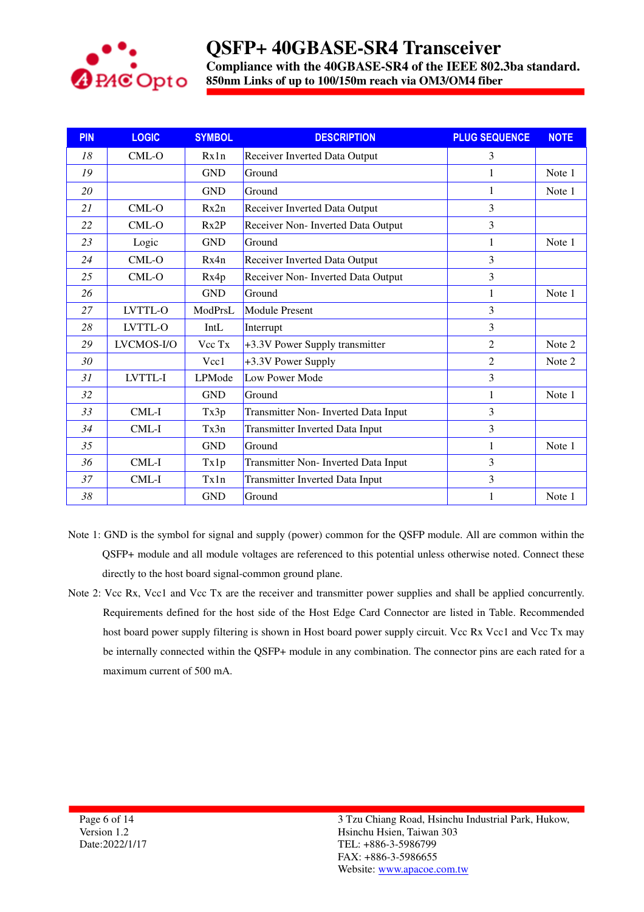

**Compliance with the 40GBASE-SR4 of the IEEE 802.3ba standard. 850nm Links of up to 100/150m reach via OM3/OM4 fiber** 

| <b>PIN</b> | <b>LOGIC</b> | <b>SYMBOL</b> | <b>DESCRIPTION</b>                         | <b>PLUG SEQUENCE</b> | <b>NOTE</b> |
|------------|--------------|---------------|--------------------------------------------|----------------------|-------------|
| 18         | $CML-O$      | Rx1n          | Receiver Inverted Data Output              | 3                    |             |
| 19         |              | <b>GND</b>    | Ground                                     | 1                    | Note 1      |
| 20         |              | <b>GND</b>    | Ground                                     | 1                    | Note 1      |
| 21         | $CML-O$      | Rx2n          | Receiver Inverted Data Output              | 3                    |             |
| 22         | $CML-O$      | Rx2P          | Receiver Non- Inverted Data Output         | 3                    |             |
| 23         | Logic        | <b>GND</b>    | Ground                                     | 1                    | Note 1      |
| 24         | CML-O        | Rx4n          | Receiver Inverted Data Output              | 3                    |             |
| 25         | CML-O        | Rx4p          | Receiver Non- Inverted Data Output         | 3                    |             |
| 26         |              | <b>GND</b>    | Ground                                     | 1                    | Note 1      |
| 27         | LVTTL-O      | ModPrsL       | <b>Module Present</b>                      | 3                    |             |
| 28         | LVTTL-O      | IntL          | Interrupt                                  | 3                    |             |
| 29         | LVCMOS-I/O   | Vcc Tx        | +3.3V Power Supply transmitter             | $\overline{2}$       | Note 2      |
| 30         |              | Vcc1          | +3.3V Power Supply                         | $\overline{2}$       | Note 2      |
| 31         | LVTTL-I      | LPMode        | Low Power Mode                             | 3                    |             |
| 32         |              | <b>GND</b>    | Ground                                     |                      | Note 1      |
| 33         | CML-I        | Tx3p          | <b>Transmitter Non-Inverted Data Input</b> | 3                    |             |
| 34         | CML-I        | Tx3n          | Transmitter Inverted Data Input            | 3                    |             |
| 35         |              | <b>GND</b>    | Ground                                     |                      | Note 1      |
| 36         | $CML-I$      | Tx1p          | Transmitter Non- Inverted Data Input       | 3                    |             |
| 37         | CML-I        | Tx1n          | Transmitter Inverted Data Input            | 3                    |             |
| 38         |              | <b>GND</b>    | Ground                                     |                      | Note 1      |

- Note 1: GND is the symbol for signal and supply (power) common for the QSFP module. All are common within the QSFP+ module and all module voltages are referenced to this potential unless otherwise noted. Connect these directly to the host board signal-common ground plane.
- Note 2: Vcc Rx, Vcc1 and Vcc Tx are the receiver and transmitter power supplies and shall be applied concurrently. Requirements defined for the host side of the Host Edge Card Connector are listed in Table. Recommended host board power supply filtering is shown in Host board power supply circuit. Vcc Rx Vcc1 and Vcc Tx may be internally connected within the QSFP+ module in any combination. The connector pins are each rated for a maximum current of 500 mA.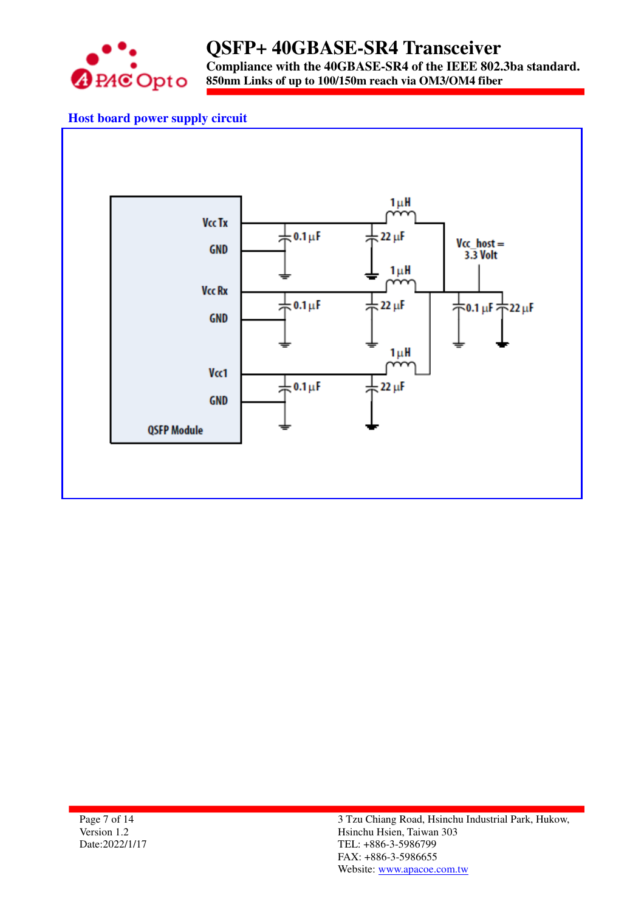

**Compliance with the 40GBASE-SR4 of the IEEE 802.3ba standard. 850nm Links of up to 100/150m reach via OM3/OM4 fiber** 

### **Host board power supply circuit**



Page 7 of 14 Version 1.2 Date:2022/1/17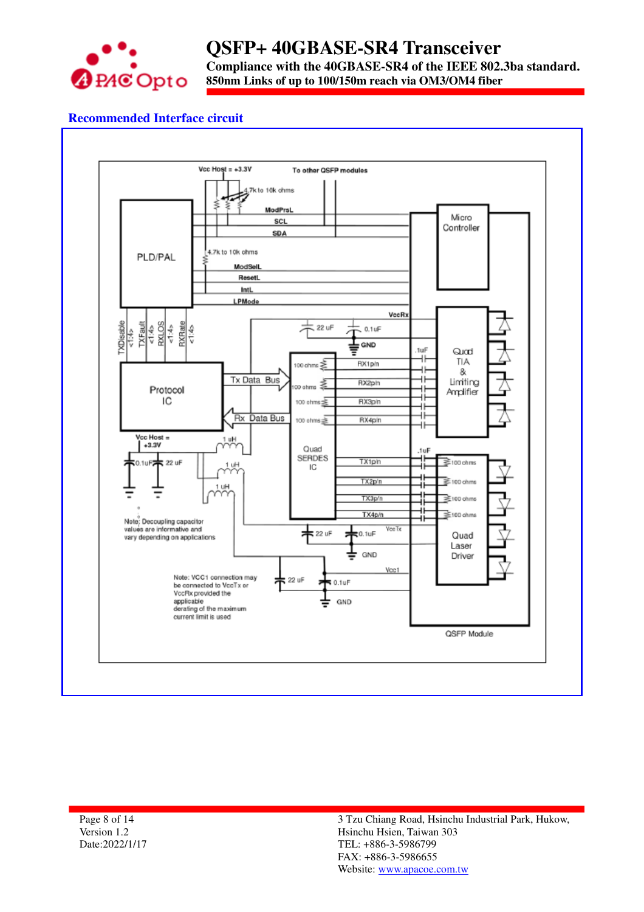

**Compliance with the 40GBASE-SR4 of the IEEE 802.3ba standard.**

### **850nm Links of up to 100/150m reach via OM3/OM4 fiber**

### **Recommended Interface circuit**



Page 8 of 14 Version 1.2 Date:2022/1/17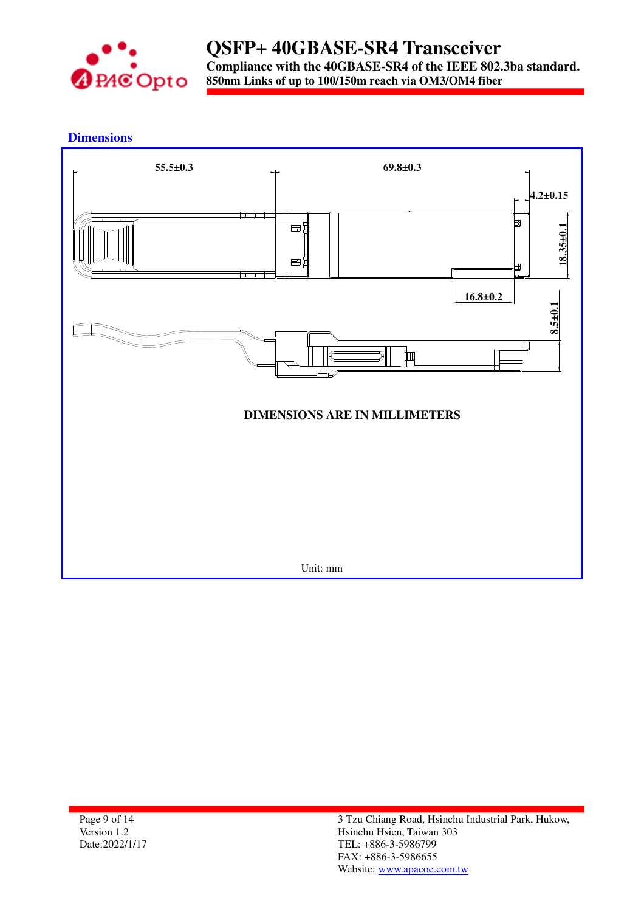

**Dimensions** 



Page 9 of 14 Version 1.2 Date:2022/1/17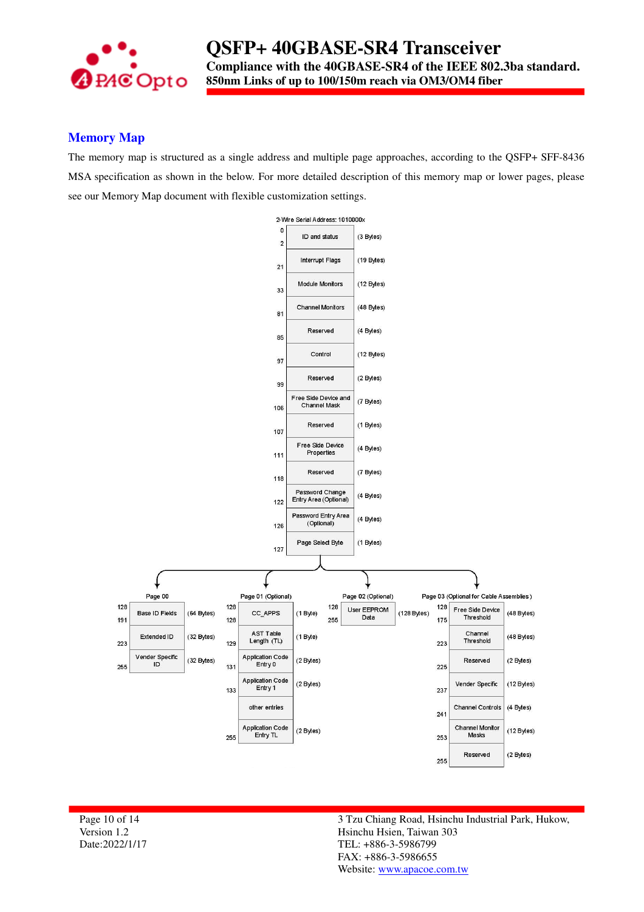

### **Memory Map**

The memory map is structured as a single address and multiple page approaches, according to the QSFP+ SFF-8436 MSA specification as shown in the below. For more detailed description of this memory map or lower pages, please see our Memory Map document with flexible customization settings.



Page 10 of 14 Version 1.2 Date:2022/1/17 3 Tzu Chiang Road, Hsinchu Industrial Park, Hukow, Hsinchu Hsien, Taiwan 303 TEL: +886-3-5986799 FAX: +886-3-5986655 Website: www.apacoe.com.tw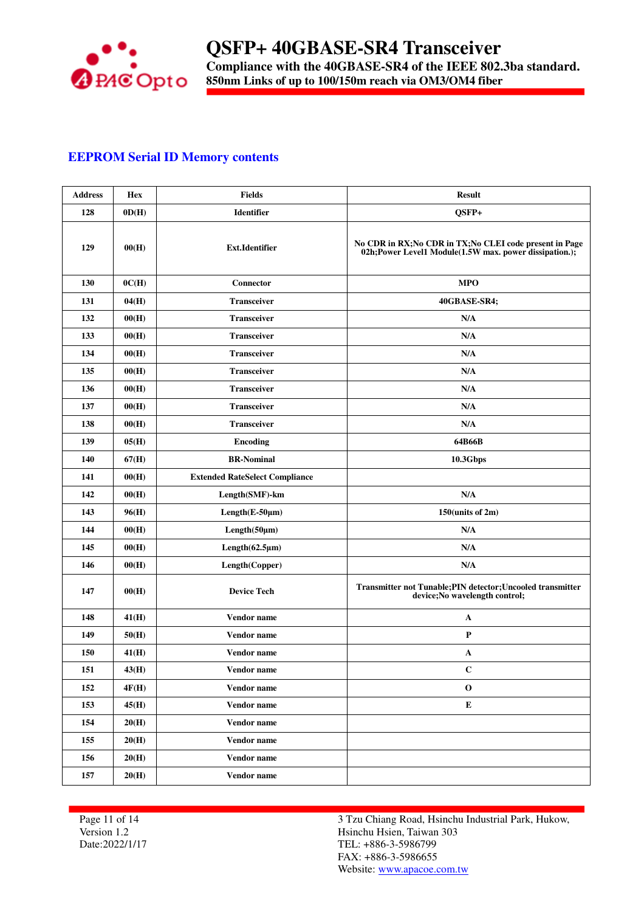

### **EEPROM Serial ID Memory contents**

| <b>Address</b> | Hex   | <b>Fields</b>                         | <b>Result</b>                                                                                                       |
|----------------|-------|---------------------------------------|---------------------------------------------------------------------------------------------------------------------|
| 128            | OD(H) | <b>Identifier</b>                     | QSFP+                                                                                                               |
| 129            | 00(H) | <b>Ext.Identifier</b>                 | No CDR in RX; No CDR in TX; No CLEI code present in Page<br>02h; Power Level1 Module(1.5W max. power dissipation.); |
| 130            | 0C(H) | Connector                             | <b>MPO</b>                                                                                                          |
| 131            | 04(H) | <b>Transceiver</b>                    | 40GBASE-SR4;                                                                                                        |
| 132            | 00(H) | <b>Transceiver</b>                    | N/A                                                                                                                 |
| 133            | 00(H) | <b>Transceiver</b>                    | N/A                                                                                                                 |
| 134            | 00(H) | <b>Transceiver</b>                    | N/A                                                                                                                 |
| 135            | 00(H) | <b>Transceiver</b>                    | N/A                                                                                                                 |
| 136            | 00(H) | <b>Transceiver</b>                    | N/A                                                                                                                 |
| 137            | 00(H) | <b>Transceiver</b>                    | N/A                                                                                                                 |
| 138            | 00(H) | <b>Transceiver</b>                    | N/A                                                                                                                 |
| 139            | 05(H) | <b>Encoding</b>                       | 64B66B                                                                                                              |
| 140            | 67(H) | <b>BR-Nominal</b>                     | <b>10.3Gbps</b>                                                                                                     |
| 141            | 00(H) | <b>Extended RateSelect Compliance</b> |                                                                                                                     |
| 142            | 00(H) | Length(SMF)-km                        | N/A                                                                                                                 |
| 143            | 96(H) | $Length(E-50\mu m)$                   | 150(units of 2m)                                                                                                    |
| 144            | 00(H) | Length(50µm)                          | N/A                                                                                                                 |
| 145            | 00(H) | Length(62.5µm)                        | N/A                                                                                                                 |
| 146            | 00(H) | Length(Copper)                        | N/A                                                                                                                 |
| 147            | 00(H) | <b>Device Tech</b>                    | Transmitter not Tunable; PIN detector; Uncooled transmitter<br>device; No wavelength control;                       |
| 148            | 41(H) | Vendor name                           | $\mathbf{A}$                                                                                                        |
| 149            | 50(H) | Vendor name                           | $\mathbf{P}$                                                                                                        |
| 150            | 41(H) | Vendor name                           | A                                                                                                                   |
| 151            | 43(H) | Vendor name                           | $\mathbf C$                                                                                                         |
| 152            | 4F(H) | Vendor name                           | $\bf{0}$                                                                                                            |
| 153            | 45(H) | Vendor name                           | ${\bf E}$                                                                                                           |
| 154            | 20(H) | Vendor name                           |                                                                                                                     |
| 155            | 20(H) | Vendor name                           |                                                                                                                     |
| 156            | 20(H) | Vendor name                           |                                                                                                                     |
| 157            | 20(H) | Vendor name                           |                                                                                                                     |

Page 11 of 14 Version 1.2 Date:2022/1/17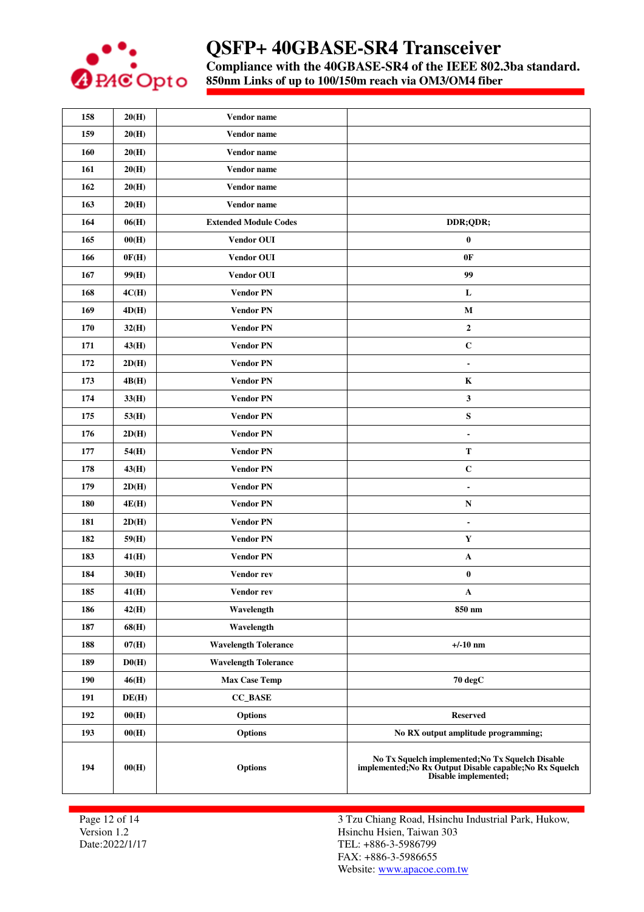

**Compliance with the 40GBASE-SR4 of the IEEE 802.3ba standard.**

**850nm Links of up to 100/150m reach via OM3/OM4 fiber** 

| 158 | 20(H)        | Vendor name                  |                                                                                                                                      |
|-----|--------------|------------------------------|--------------------------------------------------------------------------------------------------------------------------------------|
| 159 | 20(H)        | Vendor name                  |                                                                                                                                      |
| 160 | 20(H)        | Vendor name                  |                                                                                                                                      |
| 161 | 20(H)        | Vendor name                  |                                                                                                                                      |
| 162 | 20(H)        | Vendor name                  |                                                                                                                                      |
| 163 | 20(H)        | Vendor name                  |                                                                                                                                      |
| 164 | 06(H)        | <b>Extended Module Codes</b> | DDR;QDR;                                                                                                                             |
| 165 | 00(H)        | Vendor OUI                   | $\pmb{0}$                                                                                                                            |
| 166 | 0F(H)        | <b>Vendor OUI</b>            | 0F                                                                                                                                   |
| 167 | 99(H)        | <b>Vendor OUI</b>            | 99                                                                                                                                   |
| 168 | 4C(H)        | <b>Vendor PN</b>             | L                                                                                                                                    |
| 169 | 4D(H)        | <b>Vendor PN</b>             | $\mathbf{M}$                                                                                                                         |
| 170 | 32(H)        | <b>Vendor PN</b>             | $\mathbf{2}$                                                                                                                         |
| 171 | 43(H)        | <b>Vendor PN</b>             | $\mathbf C$                                                                                                                          |
| 172 | 2D(H)        | <b>Vendor PN</b>             | $\blacksquare$                                                                                                                       |
| 173 | 4B(H)        | <b>Vendor PN</b>             | $\bf K$                                                                                                                              |
| 174 | 33(H)        | <b>Vendor PN</b>             | 3                                                                                                                                    |
| 175 | 53(H)        | <b>Vendor PN</b>             | ${\bf S}$                                                                                                                            |
| 176 | 2D(H)        | <b>Vendor PN</b>             | $\blacksquare$                                                                                                                       |
| 177 | 54(H)        | <b>Vendor PN</b>             | T                                                                                                                                    |
| 178 | 43(H)        | <b>Vendor PN</b>             | $\mathbf C$                                                                                                                          |
| 179 | 2D(H)        | <b>Vendor PN</b>             | $\blacksquare$                                                                                                                       |
| 180 | <b>4E(H)</b> | <b>Vendor PN</b>             | N                                                                                                                                    |
| 181 | 2D(H)        | <b>Vendor PN</b>             | $\overline{\phantom{a}}$                                                                                                             |
| 182 | 59(H)        | <b>Vendor PN</b>             | Y                                                                                                                                    |
| 183 | 41(H)        | <b>Vendor PN</b>             | A                                                                                                                                    |
| 184 | 30(H)        | Vendor rev                   | $\bf{0}$                                                                                                                             |
| 185 | 41(H)        | Vendor rev                   | A                                                                                                                                    |
| 186 | 42(H)        | Wavelength                   | 850 nm                                                                                                                               |
| 187 | 68(H)        | Wavelength                   |                                                                                                                                      |
| 188 | 07(H)        | <b>Wavelength Tolerance</b>  | $+/-10$ nm                                                                                                                           |
| 189 | D0(H)        | <b>Wavelength Tolerance</b>  |                                                                                                                                      |
| 190 | 46(H)        | <b>Max Case Temp</b>         | 70 degC                                                                                                                              |
| 191 | DE(H)        | <b>CC_BASE</b>               |                                                                                                                                      |
| 192 | 00(H)        | <b>Options</b>               | <b>Reserved</b>                                                                                                                      |
| 193 | 00(H)        | <b>Options</b>               | No RX output amplitude programming;                                                                                                  |
| 194 | 00(H)        | <b>Options</b>               | No Tx Squelch implemented; No Tx Squelch Disable<br>implemented; No Rx Output Disable capable; No Rx Squelch<br>Disable implemented; |

Page 12 of 14 Version 1.2 Date:2022/1/17 3 Tzu Chiang Road, Hsinchu Industrial Park, Hukow, Hsinchu Hsien, Taiwan 303 TEL: +886-3-5986799 FAX: +886-3-5986655 Website: www.apacoe.com.tw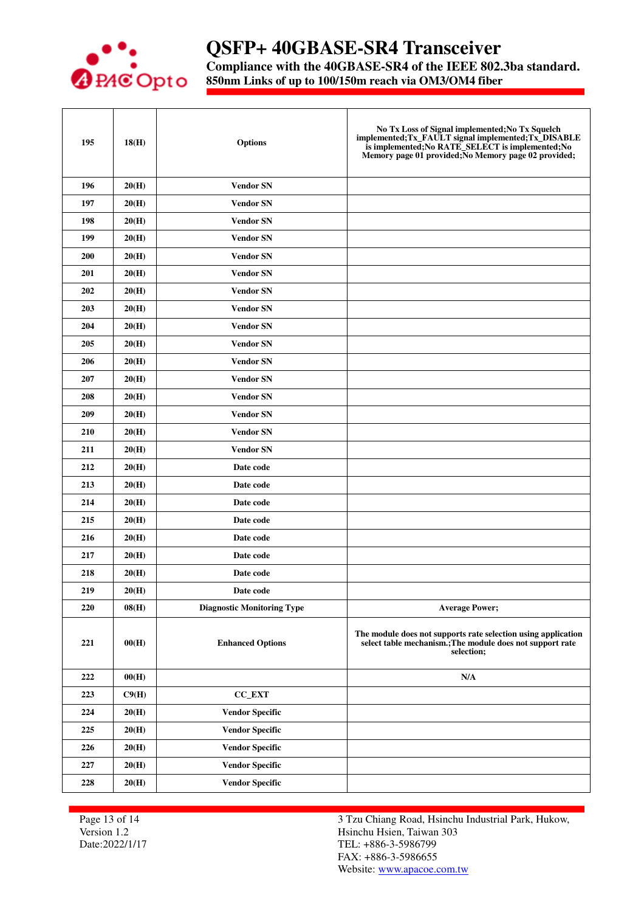

# **QSFP+ 40GBASE-SR4 Transceiver**

**Compliance with the 40GBASE-SR4 of the IEEE 802.3ba standard.**

**850nm Links of up to 100/150m reach via OM3/OM4 fiber** 

| 195 | 18(H) | <b>Options</b>                    | No Tx Loss of Signal implemented; No Tx Squelch<br>implemented; Tx_FAULT signal implemented; Tx_DISABLE<br>is implemented; No RATE_SELECT is implemented; No<br>Memory page 01 provided; No Memory page 02 provided; |
|-----|-------|-----------------------------------|----------------------------------------------------------------------------------------------------------------------------------------------------------------------------------------------------------------------|
| 196 | 20(H) | <b>Vendor SN</b>                  |                                                                                                                                                                                                                      |
| 197 | 20(H) | <b>Vendor SN</b>                  |                                                                                                                                                                                                                      |
| 198 | 20(H) | <b>Vendor SN</b>                  |                                                                                                                                                                                                                      |
| 199 | 20(H) | <b>Vendor SN</b>                  |                                                                                                                                                                                                                      |
| 200 | 20(H) | <b>Vendor SN</b>                  |                                                                                                                                                                                                                      |
| 201 | 20(H) | <b>Vendor SN</b>                  |                                                                                                                                                                                                                      |
| 202 | 20(H) | <b>Vendor SN</b>                  |                                                                                                                                                                                                                      |
| 203 | 20(H) | <b>Vendor SN</b>                  |                                                                                                                                                                                                                      |
| 204 | 20(H) | <b>Vendor SN</b>                  |                                                                                                                                                                                                                      |
| 205 | 20(H) | <b>Vendor SN</b>                  |                                                                                                                                                                                                                      |
| 206 | 20(H) | <b>Vendor SN</b>                  |                                                                                                                                                                                                                      |
| 207 | 20(H) | <b>Vendor SN</b>                  |                                                                                                                                                                                                                      |
| 208 | 20(H) | <b>Vendor SN</b>                  |                                                                                                                                                                                                                      |
| 209 | 20(H) | <b>Vendor SN</b>                  |                                                                                                                                                                                                                      |
| 210 | 20(H) | <b>Vendor SN</b>                  |                                                                                                                                                                                                                      |
| 211 | 20(H) | <b>Vendor SN</b>                  |                                                                                                                                                                                                                      |
| 212 | 20(H) | Date code                         |                                                                                                                                                                                                                      |
| 213 | 20(H) | Date code                         |                                                                                                                                                                                                                      |
| 214 | 20(H) | Date code                         |                                                                                                                                                                                                                      |
| 215 | 20(H) | Date code                         |                                                                                                                                                                                                                      |
| 216 | 20(H) | Date code                         |                                                                                                                                                                                                                      |
| 217 | 20(H) | Date code                         |                                                                                                                                                                                                                      |
| 218 | 20(H) | Date code                         |                                                                                                                                                                                                                      |
| 219 | 20(H) | Date code                         |                                                                                                                                                                                                                      |
| 220 | 08(H) | <b>Diagnostic Monitoring Type</b> | <b>Average Power;</b>                                                                                                                                                                                                |
| 221 | 00(H) | <b>Enhanced Options</b>           | The module does not supports rate selection using application<br>select table mechanism.; The module does not support rate<br>selection;                                                                             |
| 222 | 00(H) |                                   | $\mathbf{N}/\mathbf{A}$                                                                                                                                                                                              |
| 223 | C9(H) | CC_EXT                            |                                                                                                                                                                                                                      |
| 224 | 20(H) | <b>Vendor Specific</b>            |                                                                                                                                                                                                                      |
| 225 | 20(H) | <b>Vendor Specific</b>            |                                                                                                                                                                                                                      |
| 226 | 20(H) | <b>Vendor Specific</b>            |                                                                                                                                                                                                                      |
| 227 | 20(H) | <b>Vendor Specific</b>            |                                                                                                                                                                                                                      |
| 228 | 20(H) | <b>Vendor Specific</b>            |                                                                                                                                                                                                                      |

Page 13 of 14 Version 1.2 Date:2022/1/17